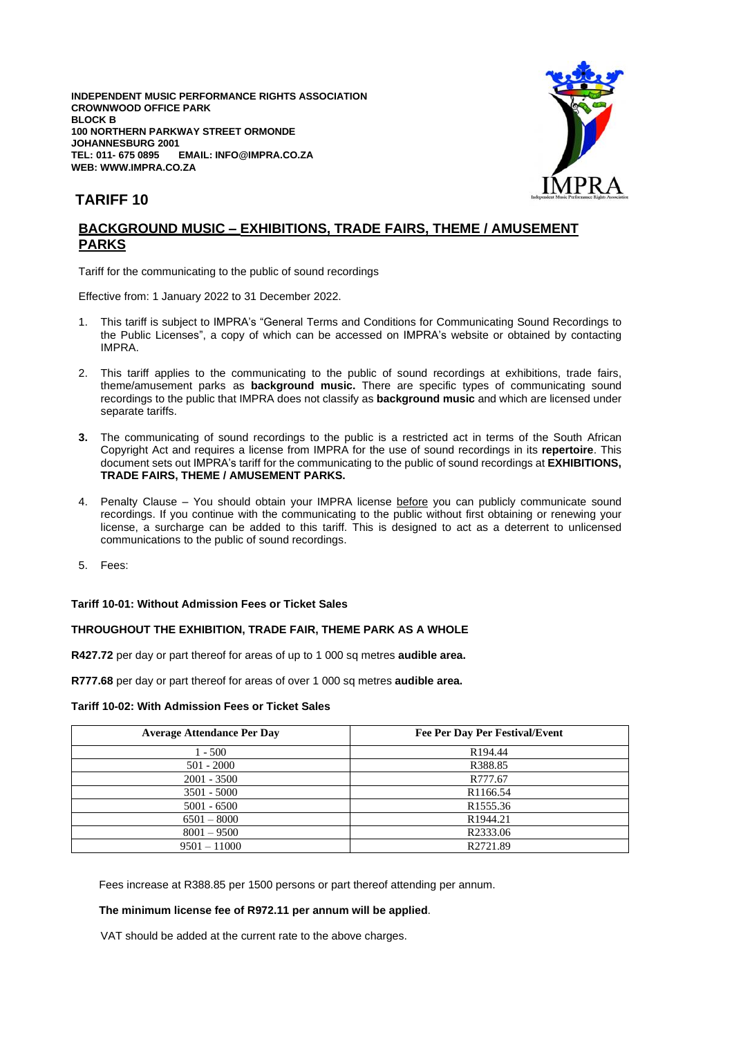**INDEPENDENT MUSIC PERFORMANCE RIGHTS ASSOCIATION CROWNWOOD OFFICE PARK BLOCK B 100 NORTHERN PARKWAY STREET ORMONDE JOHANNESBURG 2001 TEL: 011- 675 0895 EMAIL: INFO@IMPRA.CO.ZA WEB: WWW.IMPRA.CO.ZA**



# **TARIFF 10**

## **BACKGROUND MUSIC – EXHIBITIONS, TRADE FAIRS, THEME / AMUSEMENT PARKS**

Tariff for the communicating to the public of sound recordings

Effective from: 1 January 2022 to 31 December 2022.

- 1. This tariff is subject to IMPRA's "General Terms and Conditions for Communicating Sound Recordings to the Public Licenses", a copy of which can be accessed on IMPRA's website or obtained by contacting IMPRA.
- 2. This tariff applies to the communicating to the public of sound recordings at exhibitions, trade fairs, theme/amusement parks as **background music.** There are specific types of communicating sound recordings to the public that IMPRA does not classify as **background music** and which are licensed under separate tariffs.
- **3.** The communicating of sound recordings to the public is a restricted act in terms of the South African Copyright Act and requires a license from IMPRA for the use of sound recordings in its **repertoire**. This document sets out IMPRA's tariff for the communicating to the public of sound recordings at **EXHIBITIONS, TRADE FAIRS, THEME / AMUSEMENT PARKS.**
- 4. Penalty Clause You should obtain your IMPRA license before you can publicly communicate sound recordings. If you continue with the communicating to the public without first obtaining or renewing your license, a surcharge can be added to this tariff. This is designed to act as a deterrent to unlicensed communications to the public of sound recordings.
- 5. Fees:

#### **Tariff 10-01: Without Admission Fees or Ticket Sales**

## **THROUGHOUT THE EXHIBITION, TRADE FAIR, THEME PARK AS A WHOLE**

**R427.72** per day or part thereof for areas of up to 1 000 sq metres **audible area.**

**R777.68** per day or part thereof for areas of over 1 000 sq metres **audible area.**

#### **Tariff 10-02: With Admission Fees or Ticket Sales**

| <b>Average Attendance Per Day</b> | Fee Per Day Per Festival/Event |
|-----------------------------------|--------------------------------|
| $1 - 500$                         | R <sub>194.44</sub>            |
| $501 - 2000$                      | R388.85                        |
| $2001 - 3500$                     | R777.67                        |
| $3501 - 5000$                     | R <sub>1166.54</sub>           |
| $5001 - 6500$                     | R <sub>1555.36</sub>           |
| $6501 - 8000$                     | R <sub>1944.21</sub>           |
| $8001 - 9500$                     | R2333.06                       |
| $9501 - 11000$                    | R2721.89                       |

Fees increase at R388.85 per 1500 persons or part thereof attending per annum.

## **The minimum license fee of R972.11 per annum will be applied**.

VAT should be added at the current rate to the above charges.